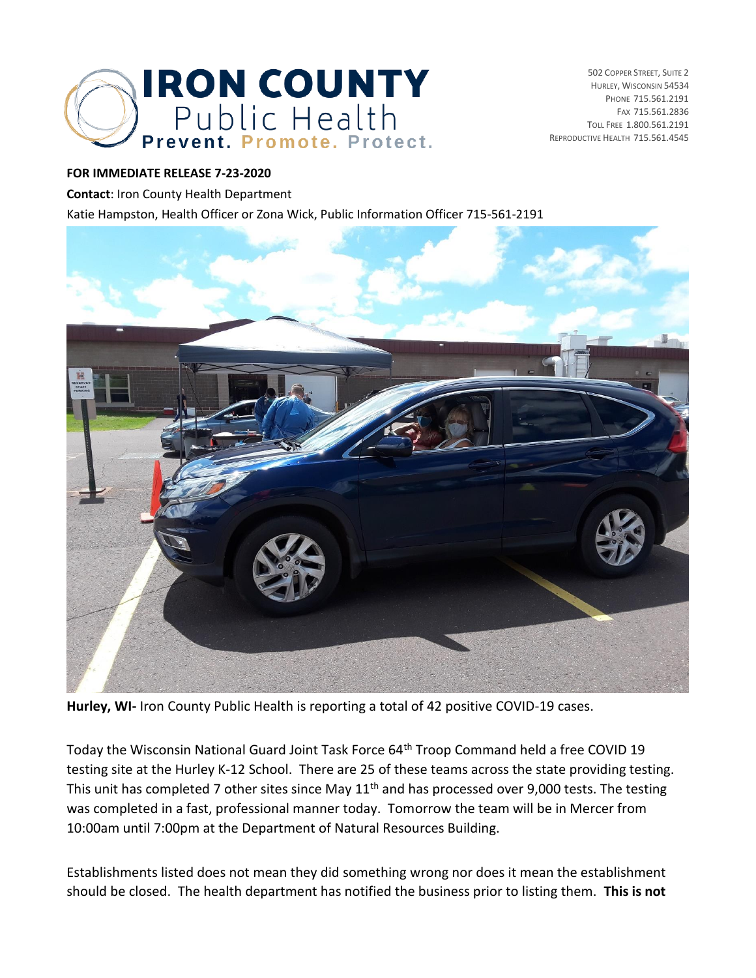

502 COPPER STREET, SUITE 2 HURLEY, WISCONSIN 54534 PHONE 715.561.2191 FAX 715.561.2836 TOLL FREE 1.800.561.2191 REPRODUCTIVE HEALTH 715.561.4545

## **FOR IMMEDIATE RELEASE 7-23-2020**

**Contact**: Iron County Health Department

Katie Hampston, Health Officer or Zona Wick, Public Information Officer 715-561-2191



**Hurley, WI-** Iron County Public Health is reporting a total of 42 positive COVID-19 cases.

Today the Wisconsin National Guard Joint Task Force 64<sup>th</sup> Troop Command held a free COVID 19 testing site at the Hurley K-12 School. There are 25 of these teams across the state providing testing. This unit has completed 7 other sites since May 11<sup>th</sup> and has processed over 9,000 tests. The testing was completed in a fast, professional manner today. Tomorrow the team will be in Mercer from 10:00am until 7:00pm at the Department of Natural Resources Building.

Establishments listed does not mean they did something wrong nor does it mean the establishment should be closed. The health department has notified the business prior to listing them. **This is not**